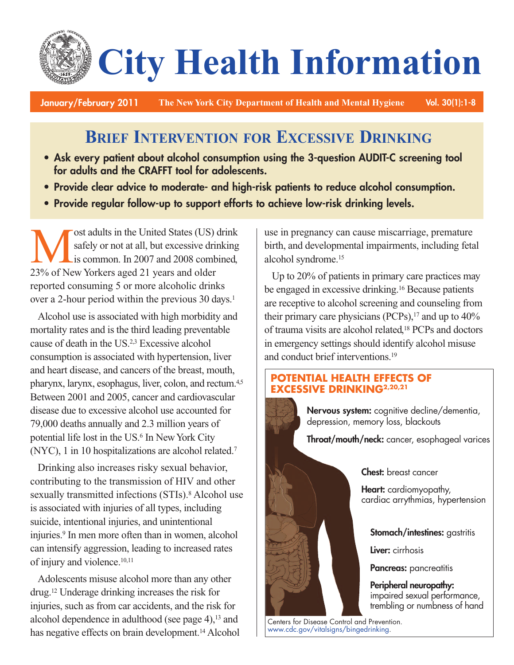# **City Health Information**

**January/February 2011 The New York City Department of Health and Mental Hygiene Vol. 30(1):1-8**

# **BRIEF INTERVENTION FOR EXCESSIVE DRINKING**

- **• Ask every patient about alcohol consumption using the 3-question AUDIT-C screening tool for adults and the CRAFFT tool for adolescents.**
- **• Provide clear advice to moderate- and high-risk patients to reduce alcohol consumption.**
- **• Provide regular follow-up to support efforts to achieve low-risk drinking levels.**

ost adults in the United States (US) drink<br>safely or not at all, but excessive drinking<br>is common. In 2007 and 2008 combined,<br>23% of New Yorkers aged 21 years and older safely or not at all, but excessive drinking is common. In 2007 and 2008 combined, 23% of New Yorkers aged 21 years and older reported consuming 5 or more alcoholic drinks over a 2-hour period within the previous 30 days. 1

Alcohol use is associated with high morbidity and mortality rates and is the third leading preventable cause of death in the US. 2,3 Excessive alcohol consumption is associated with hypertension, liver and heart disease, and cancers of the breast, mouth, pharynx, larynx, esophagus, liver, colon, and rectum.<sup>4,5</sup> Between 2001 and 2005, cancer and cardiovascular disease due to excessive alcohol use accounted for 79,000 deaths annually and 2.3 million years of potential life lost in the US. <sup>6</sup> In NewYork City (NYC), 1 in 10 hospitalizations are alcohol related. 7

Drinking also increases risky sexual behavior, contributing to the transmission of HIV and other sexually transmitted infections (STIs). <sup>8</sup> Alcohol use is associated with injuries of all types, including suicide, intentional injuries, and unintentional injuries. <sup>9</sup> In men more often than in women, alcohol can intensify aggression, leading to increased rates of injury and violence. 10,11

Adolescents misuse alcohol more than any other drug. <sup>12</sup> Underage drinking increases the risk for injuries, such as from car accidents, and the risk for alcohol dependence in adulthood (see page 4), <sup>13</sup> and has negative effects on brain development. <sup>14</sup> Alcohol use in pregnancy can cause miscarriage, premature birth, and developmental impairments, including fetal alcohol syndrome. 15

Up to 20% of patients in primary care practices may be engaged in excessive drinking. <sup>16</sup> Because patients are receptive to alcohol screening and counseling from their primary care physicians (PCPs), <sup>17</sup> and up to 40% of trauma visits are alcohol related, <sup>18</sup> PCPs and doctors in emergency settings should identify alcohol misuse and conduct brief interventions. 19

# **POTENTIAL HEALTH EFFECTS OF EXCESSIVE DRINKING2,20,21**

**Nervous system:** cognitive decline/dementia, depression, memory loss, blackouts

**Throat/mouth/neck:** cancer, esophageal varices

**Chest:** breast cancer

**Heart:** cardiomyopathy, cardiac arrythmias, hypertension

**Stomach/intestines:** gastritis

**Liver:** cirrhosis

**Pancreas:** pancreatitis

**Peripheral neuropathy:** impaired sexual performance, trembling or numbness of hand

Centers for Disease Control and Prevention. [www.cdc.gov/vitalsigns/bingedrinking.](http://www.cdc.gov/vitalsigns/bingedrinking/)

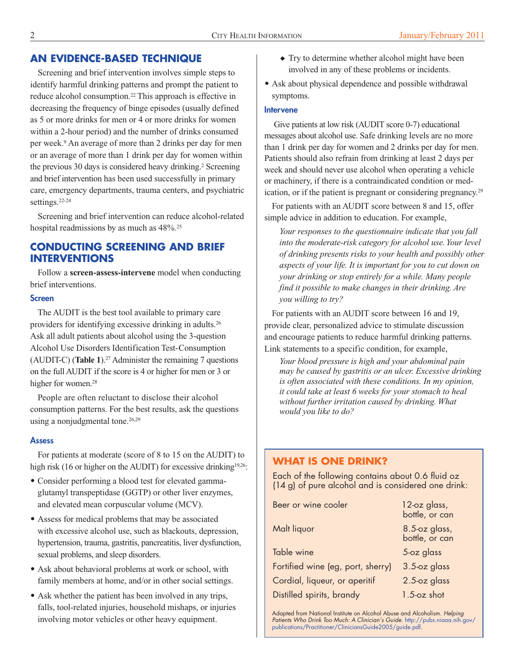# **AN EVIDENCE-BASED TECHNIQUE**

Screening and brief intervention involves simple steps to identify harmful drinking patterns and prompt the patient to reduce alcohol consumption. <sup>22</sup> This approach is effective in decreasing the frequency of binge episodes (usually defined as 5 or more drinks for men or 4 or more drinks for women within a 2-hour period) and the number of drinks consumed per week. <sup>9</sup> An average of more than 2 drinks per day for men or an average of more than 1 drink per day for women within the previous 30 days is considered heavy drinking. <sup>2</sup> Screening and brief intervention has been used successfully in primary care, emergency departments, trauma centers, and psychiatric settings. 22-24

Screening and brief intervention can reduce alcohol-related hospital readmissions by as much as  $48\%$ <sup>25</sup>

# **CONDUCTING SCREENING AND BRIEF INTERVENTIONS**

Follow a **screen-assess-intervene** model when conducting brief interventions.

#### **Screen**

The AUDIT is the best tool available to primary care providers for identifying excessive drinking in adults.<sup>26</sup> Ask all adult patients about alcohol using the 3-question Alcohol Use Disorders Identification Test-Consumption (AUDIT-C) (**Table 1**). <sup>27</sup> Administer the remaining 7 questions on the full AUDIT if the score is 4 or higher for men or 3 or higher for women. 28

People are often reluctant to disclose their alcohol consumption patterns. For the best results, ask the questions using a nonjudgmental tone. 26,29

#### **Assess**

For patients at moderate (score of 8 to 15 on the AUDIT) to high risk (16 or higher on the AUDIT) for excessive drinking<sup>19,26</sup>:

- Consider performing a blood test for elevated gammaglutamyl transpeptidase (GGTP) or other liver enzymes, and elevated mean corpuscular volume (MCV).
- Assess for medical problems that may be associated with excessive alcohol use, such as blackouts, depression, hypertension, trauma, gastritis, pancreatitis, liver dysfunction, sexual problems, and sleep disorders.
- Ask about behavioral problems at work or school, with family members at home, and/or in other social settings.
- Ask whether the patient has been involved in any trips, falls, tool-related injuries, household mishaps, or injuries involving motor vehicles or other heavy equipment.
- ◆ Try to determine whether alcohol might have been involved in any of these problems or incidents.
- Ask about physical dependence and possible withdrawal symptoms.

#### **Intervene**

Give patients at low risk (AUDIT score 0-7) educational messages about alcohol use. Safe drinking levels are no more than 1 drink per day for women and 2 drinks per day for men. Patients should also refrain from drinking at least 2 days per week and should never use alcohol when operating a vehicle or machinery, if there is a contraindicated condition or medication, or if the patient is pregnant or considering pregnancy.<sup>29</sup>

 For patients with an AUDIT score between 8 and 15, offer simple advice in addition to education. For example,

*Your responses to the questionnaire indicate that you fall into the -risk category for alcohol use. Your level moderate drinking presents risks to your health and possibly other ofaspects of your life. It is important for you to cut down on your drinking or stop entirely for a while. Many people find it possible to make changes in their drinking. Are you willing to try?*

For patients with an AUDIT score between 16 and 19, provide clear, personalized advice to stimulate discussion and encourage patients to reduce harmful drinking patterns. Link statements to a specific condition, for example,

*Your blood pressure is high and your abdominal pain may be caused by gastritis or an ulcer. Excessive drinking is often associated with these conditions. In my opinion, it could take at least 6 weeks for your stomach to heal without further irritation caused by drinking. What would you like to do?*

# **WHAT IS ONE DRINK?**

Each of the following contains about 0.6 fluid oz (14 g) of pure alcohol and is considered one drink:

| Beer or wine cooler               | 12-oz glass,<br>bottle, or can  |
|-----------------------------------|---------------------------------|
| Malt liquor                       | 8.5-oz glass,<br>bottle, or can |
| Table wine                        | 5-oz glass                      |
| Fortified wine (eg, port, sherry) | 3.5-oz glass                    |
| Cordial, liqueur, or aperitif     | 2.5-oz glass                    |
| Distilled spirits, brandy         | $1.5$ -oz shot                  |

Adapted from National Institute on Alcohol Abuse and Alcoholism. *Helping Patients Who Drink Too Much: A Clinician's Guide*. [http://pubs.niaaa.nih.gov/](http://pubs.niaaa.nih.gov/publications/Practitioner/CliniciansGuide2005/guide.pdf) [publications/Practitioner/CliniciansGuide2005/guide.pdf.](http://pubs.niaaa.nih.gov/publications/Practitioner/CliniciansGuide2005/guide.pdf)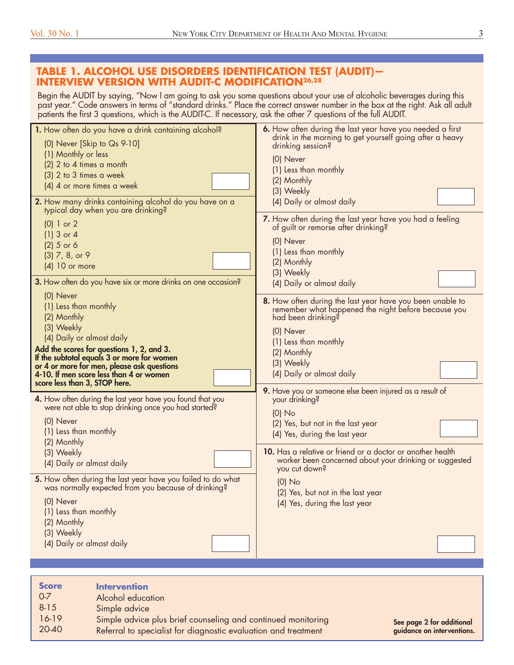# **TABLE 1. ALCOHOL USE DISORDERS IDENTIFICATION TEST (AUDIT)— INTERVIEW VERSION WITH AUDIT-C MODIFICATION26,28**

Begin the AUDIT by saying, "Now I am going to ask you some questions about your use of alcoholic beverages during this past year." Code answers in terms of "standard drinks." Place the correct answer number in the box at the right. Ask all adult patients the first 3 questions, which is the AUDIT-C. If necessary, ask the other 7 questions of the full AUDIT.

| 1. How often do you have a drink containing alcohol?<br>(0) Never [Skip to Qs 9-10]<br>(1) Monthly or less<br>(2) 2 to 4 times a month<br>(3) 2 to 3 times a week<br>(4) 4 or more times a week<br>2. How many drinks containing alcohol do you have on a<br>typical day when you are drinking?                   | 6. How often during the last year have you needed a first<br>drink in the morning to get yourself going after a heavy<br>drinking session?<br>(0) Never<br>(1) Less than monthly<br>(2) Monthly<br>(3) Weekly<br>(4) Daily or almost daily |
|-------------------------------------------------------------------------------------------------------------------------------------------------------------------------------------------------------------------------------------------------------------------------------------------------------------------|--------------------------------------------------------------------------------------------------------------------------------------------------------------------------------------------------------------------------------------------|
| $(0)$ 1 or 2<br>$(1)$ 3 or 4<br>$(2)$ 5 or 6<br>$(3)$ 7, 8, or 9<br>$(4)$ 10 or more<br>3. How often do you have six or more drinks on one occasion?                                                                                                                                                              | 7. How often during the last year have you had a feeling<br>of guilt or remorse after drinking?<br>(0) Never<br>(1) Less than monthly<br>(2) Monthly<br>(3) Weekly<br>(4) Daily or almost daily                                            |
| (0) Never<br>(1) Less than monthly<br>(2) Monthly<br>(3) Weekly<br>(4) Daily or almost daily<br>Add the scores for questions 1, 2, and 3.<br>If the subtotal equals 3 or more for women<br>or 4 or more for men, please ask questions<br>4-10. If men score less than 4 or women<br>score less than 3, STOP here. | 8. How often during the last year have you been unable to<br>remember what happened the night before because you<br>had been drinking?<br>(0) Never<br>(1) Less than monthly<br>(2) Monthly<br>(3) Weekly<br>(4) Daily or almost daily     |
| 4. How often during the last year have you found that you<br>were not able to stop drinking once you had started?<br>(0) Never<br>(1) Less than monthly<br>(2) Monthly<br>(3) Weekly                                                                                                                              | 9. Have you or someone else been injured as a result of<br>your drinking?<br>$(0)$ No<br>(2) Yes, but not in the last year<br>(4) Yes, during the last year<br>10. Has a relative or friend or a doctor or another health                  |
| (4) Daily or almost daily<br>5. How often during the last year have you failed to do what<br>was normally expected from you because of drinking?<br>(0) Never<br>(1) Less than monthly<br>(2) Monthly<br>(3) Weekly<br>(4) Daily or almost daily                                                                  | worker been concerned about your drinking or suggested<br>you cut down?<br>$(0)$ No<br>(2) Yes, but not in the last year<br>(4) Yes, during the last year                                                                                  |

| <b>Score</b><br>$0 - 7$<br>$8 - 15$<br>16-19 | <b>Intervention</b><br>Alcohol education<br>Simple advice<br>Simple advice plus brief counseling and continued monitoring | See page 2 for additional  |
|----------------------------------------------|---------------------------------------------------------------------------------------------------------------------------|----------------------------|
| 20-40                                        | Referral to specialist for diagnostic evaluation and treatment                                                            | guidance on interventions. |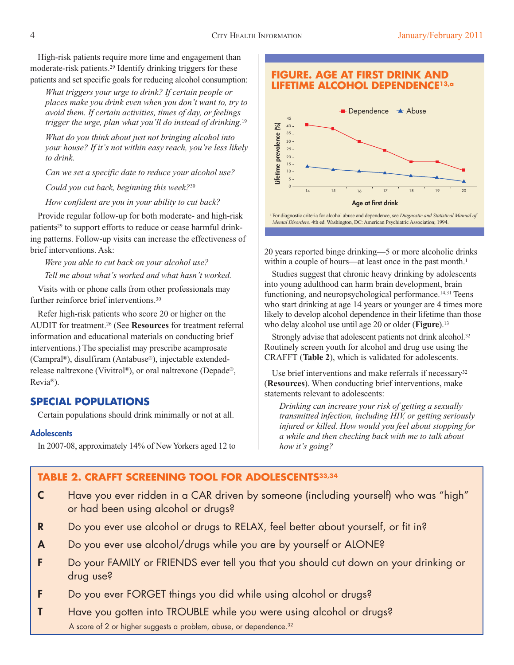High-risk patients require more time and engagement than moderate-risk patients. <sup>29</sup> Identify drinking triggers for these patients and set specific goals for reducing alcohol consumption:

*What triggers your urge to drink? If certain people or places make you drink even when you don't want to, try to avoid them. If certain activities, times of day, or feelings trigger the urge, plan what you'll do instead of drinking.* 19

*What do you think about just not bringing alcohol into your house? If it's not within easy reach, you're less likely to drink.*

*Can we set a specific date to reduce your alcohol use?*

*Could you cut back, beginning this week?*<sup>30</sup>

*How confident are you in your ability to cut back?*

Provide regular follow-up for both moderate- and high-risk patients<sup>29</sup> to support efforts to reduce or cease harmful drinking patterns. Follow-up visits can increase the effectiveness of brief interventions. Ask:

*Were you able to cut back on your alcohol use? Tell me about what's worked and what hasn't worked.*

Visits with or phone calls from other professionals may further reinforce brief interventions.<sup>30</sup>

Refer high-risk patients who score 20 or higher on the AUDIT for treatment. <sup>26</sup> (See **Resources** for treatment referral information and educational materials on conducting brief interventions.) The specialist may prescribe acamprosate (Campral ®), disulfiram (Antabuse®), injectable extendedrelease naltrexone (Vivitrol ®), or oral naltrexone (Depade®, Revia®).

# **SPECIAL POPULATIONS**

Certain populations should drink minimally or not at all.

#### **Adolescents**

In 2007-08, approximately 14% of NewYorkers aged 12 to



**FIGURE. AGE AT FIRST DRINK AND LIFETIME ALCOHOL DEPENDENCE13,a**

<sup>a</sup> For diagnostic criteria for alcohol abuse and dependence, see *Diagnostic and Statistical Manual of Mental Disorders*. 4th ed. Washington, DC: American Psychiatric Association; 1994.

20 years reported binge drinking—5 or more alcoholic drinks within a couple of hours—at least once in the past month.<sup>1</sup>

Studies suggest that chronic heavy drinking by adolescents into young adulthood can harm brain development, brain functioning, and neuropsychological performance. 14,31 Teens who start drinking at age 14 years or younger are 4 times more likely to develop alcohol dependence in their lifetime than those who delay alcohol use until age 20 or older (**Figure**). 13

Strongly advise that adolescent patients not drink alcohol.<sup>32</sup> Routinely screen youth for alcohol and drug use using the CRAFFT (**Table 2**), which is validated for adolescents.

Use brief interventions and make referrals if necessary<sup>32</sup> (**Resources**). When conducting brief interventions, make statements relevant to adolescents:

*Drinking can increase your risk of getting a sexually transmitted infection, including HIV, or getting seriously injured or killed. How would you feel about stopping for a while and then checking back with me to talk about how it's going?*

# **TABLE 2. CRAFFT SCREENING TOOL FOR ADOLESCENTS33,34**

- **C** Have you ever ridden in a CAR driven by someone (including yourself) who was "high" or had been using alcohol or drugs?
- **R** Do you ever use alcohol or drugs to RELAX, feel better about yourself, or fit in?
- **A** Do you ever use alcohol/drugs while you are by yourself or ALONE?
- **F** Do your FAMILY or FRIENDS ever tell you that you should cut down on your drinking or drug use?
- **F** Do you ever FORGET things you did while using alcohol or drugs?
- **T** Have you gotten into TROUBLE while you were using alcohol or drugs? A score of 2 or higher suggests a problem, abuse, or dependence. 32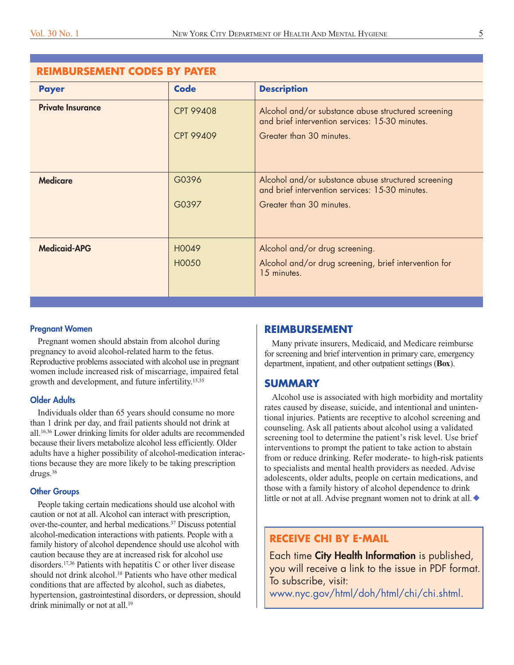| <b>REIMBURSEMENT CODES BY PAYER</b> |                                      |                                                                                                                                    |  |
|-------------------------------------|--------------------------------------|------------------------------------------------------------------------------------------------------------------------------------|--|
| <b>Payer</b>                        | <b>Code</b>                          | <b>Description</b>                                                                                                                 |  |
| <b>Private Insurance</b>            | <b>CPT 99408</b><br><b>CPT 99409</b> | Alcohol and/or substance abuse structured screening<br>and brief intervention services: 15-30 minutes.<br>Greater than 30 minutes. |  |
| <b>Medicare</b>                     | G0396<br>G0397                       | Alcohol and/or substance abuse structured screening<br>and brief intervention services: 15-30 minutes.<br>Greater than 30 minutes. |  |
| <b>Medicaid-APG</b>                 | H0049<br>H0050                       | Alcohol and/or drug screening.<br>Alcohol and/or drug screening, brief intervention for<br>15 minutes.                             |  |

#### **Pregnant Women**

Pregnant women should abstain from alcohol during pregnancy to avoid alcohol-related harm to the fetus. Reproductive problems associated with alcohol use in pregnant women include increased risk of miscarriage, impaired fetal growth and development, and future infertility. 15,35

#### **Older Adults**

Individuals older than 65 years should consume no more than 1 drink per day, and frail patients should not drink at all. 16,36 Lower drinking limits for older adults are recommended because their livers metabolize alcohol less efficiently. Older adults have a higher possibility of alcohol-medication interactions because they are more likely to be taking prescription drugs. 36

#### **Other Groups**

People taking certain medications should use alcohol with caution or not at all. Alcohol can interact with prescription, over-the-counter, and herbal medications. <sup>37</sup> Discuss potential alcohol-medication interactions with patients. People with a family history of alcohol dependence should use alcohol with caution because they are at increased risk for alcohol use disorders. 17,36 Patients with hepatitis C or other liver disease should not drink alcohol. <sup>38</sup> Patients who have other medical conditions that are affected by alcohol, such as diabetes, hypertension, gastrointestinal disorders, or depression, should drink minimally or not at all.<sup>19</sup>

#### **REIMBURSEMENT**

Many private insurers, Medicaid, and Medicare reimburse for screening and brief intervention in primary care, emergency department, inpatient, and other outpatient settings (**Box**).

#### **SUMMARY**

Alcohol use is associated with high morbidity and mortality rates caused by disease, suicide, and intentional and unintentional injuries. Patients are receptive to alcohol screening and counseling. Ask all patients about alcohol using a validated screening tool to determine the patient's risk level. Use brief interventions to prompt the patient to take action to abstain from or reduce drinking. Refer moderate- to high-risk patients to specialists and mental health providers as needed. Advise adolescents, older adults, people on certain medications, and those with a family history of alcohol dependence to drink little or not at all. Advise pregnant women not to drink at all.  $\blacklozenge$ 

# **RECEIVE CHI BY E-MAIL**

Each time **City Health Information** is published, you will receive a link to the issue in PDF format. To subscribe, visit:

[www.nyc.gov/html/doh/html/chi/chi.shtml.](http://www.nyc.gov/html/doh/html/chi/chi.shtml)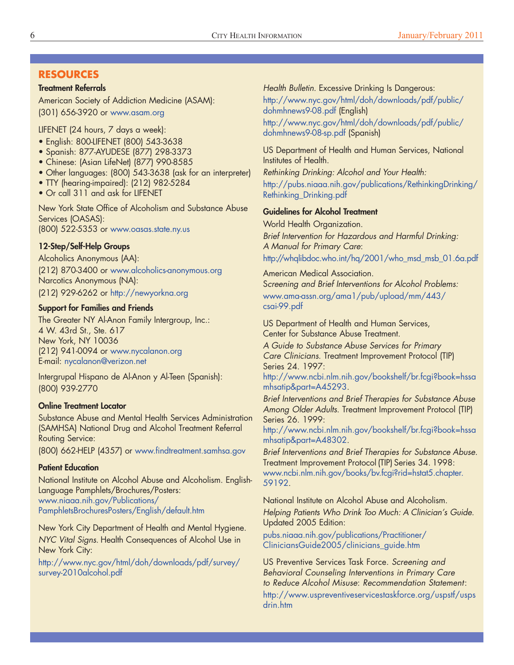# **RESOURCES**

#### **Treatment Referrals**

American Society of Addiction Medicine (ASAM): (301) 656-3920 or [www.asam.org](http://www.asam.org/)

LIFENET (24 hours, 7 days a week):

- English: 800-LIFENET (800) 543-3638
- Spanish: 877-AYUDESE (877) 298-3373
- Chinese: (Asian LifeNet) (877) 990-8585
- Other languages: (800) 543-3638 (ask for an interpreter)
- TTY (hearing-impaired): (212) 982-5284
- Or call 311 and ask for LIFENET

New York State Office of Alcoholism and Substance Abuse Services (OASAS): (800) 522-5353 or [www.oasas.state.ny.us](http://www.oasas.state.ny.us/)

#### **12-Step/Self-Help Groups**

Alcoholics Anonymous (AA): (212) 870-3400 or [www.alcoholics-anonymous.org](http://www.aa.org/?Media=PlayFlash) Narcotics Anonymous (NA): (212) 929-6262 or [http://newyorkna.org](http://newyorkna.org/)

#### **Support for Families and Friends**

The Greater NY Al-Anon Family Intergroup, Inc.: 4 W. 43rd St., Ste. 617 New York, NY 10036 (212) 941-0094 or [www.nycalanon.org](http://www.nycalanon.org/) E-mail: [nycalanon@verizon.net](mailto:nycalanon@verizon.net)

Intergrupal Hispano de Al-Anon y Al-Teen (Spanish): (800) 939-2770

#### **Online Treatment Locator**

Substance Abuse and Mental Health Services Administration (SAMHSA) National Drug and Alcohol Treatment Referral Routing Service:

(800) 662-HELP (4357) or [www.findtreatment.samhsa.gov](http://www.findtreatment.samhsa.gov/)

#### **Patient Education**

National Institute on Alcohol Abuse and Alcoholism. English-Language Pamphlets/Brochures/Posters: [www.niaaa.nih.gov/Publications/](http://www.niaaa.nih.gov/Publications/PamphletsBrochuresPosters/English/default.htm) [PamphletsBrochuresPosters/English/default.htm](http://www.niaaa.nih.gov/Publications/PamphletsBrochuresPosters/English/default.htm)

New York City Department of Health and Mental Hygiene. *NYC Vital Signs*. Health Consequences of Alcohol Use in New York City:

[http://www.nyc.gov/html/doh/downloads/pdf/survey/](http://www.nyc.gov/html/doh/downloads/pdf/survey/survey-2010alcohol.pdf) [survey-2010alcohol.pdf](http://www.nyc.gov/html/doh/downloads/pdf/survey/survey-2010alcohol.pdf)

*Health Bulletin*. Excessive Drinking Is Dangerous: [http://www.nyc.gov/html/doh/downloads/pdf/public/](http://www.nyc.gov/html/doh/downloads/pdf/public/dohmhnews9-08.pdf) [dohmhnews9-08.pdf](http://www.nyc.gov/html/doh/downloads/pdf/public/dohmhnews9-08.pdf) (English) [http://www.nyc.gov/html/doh/downloads/pdf/public/](http://www.nyc.gov/html/doh/downloads/pdf/public/dohmhnews9-08-sp.pdf) [dohmhnews9-08-sp.pdf](http://www.nyc.gov/html/doh/downloads/pdf/public/dohmhnews9-08-sp.pdf) (Spanish)

US Department of Health and Human Services, National Institutes of Health.

*Rethinking Drinking: Alcohol and Your Health:* [http://pubs.niaaa.nih.gov/publications/RethinkingDrinking/](http://pubs.niaaa.nih.gov/publications/RethinkingDrinking/Rethinking_Drinking.pdf) [Rethinking\\_Drinking.pdf](http://pubs.niaaa.nih.gov/publications/RethinkingDrinking/Rethinking_Drinking.pdf)

#### **Guidelines for Alcohol Treatment**

World Health Organization. *Brief Intervention for Hazardous and Harmful Drinking: A Manual for Primary Care*: [http://whqlibdoc.who.int/hq/2001/who\\_msd\\_msb\\_01.6a.pdf](http://whqlibdoc.who.int/hq/2001/who_msd_msb_01.6a.pdf)

American Medical Association. S*creening and Brief Interventions for Alcohol Problems:* [www.ama-assn.org/ama1/pub/upload/mm/443/](http://www.ama-assn.org/ama1/pub/upload/mm/443/csai-99.pdf) [csai-99.pdf](http://www.ama-assn.org/ama1/pub/upload/mm/443/csai-99.pdf)

US Department of Health and Human Services, Center for Substance Abuse Treatment.

*A Guide to Substance Abuse Services for Primary Care Clinicians*. Treatment Improvement Protocol (TIP) Series 24. 1997:

[http://www.ncbi.nlm.nih.gov/bookshelf/br.fcgi?book=hssa](http://www.ncbi.nlm.nih.gov/books/NBK14386/) [mhsatip&part=A45293](http://www.ncbi.nlm.nih.gov/books/NBK14386/).

*Brief Interventions and Brief Therapies for Substance Abuse Among Older Adults*. Treatment Improvement Protocol (TIP) Series 26. 1999:

[http://www.ncbi.nlm.nih.gov/bookshelf/br.fcgi?book=hssa](http://www.ncbi.nlm.nih.gov/books/NBK14467/) [mhsatip&part=A48302](http://www.ncbi.nlm.nih.gov/books/NBK14467/).

*Brief Interventions and Brief Therapies for Substance Abuse*. Treatment Improvement Protocol (TIP) Series 34. 1998: [www.ncbi.nlm.nih.gov/books/bv.fcgi?rid=hstat5.chapter.](http://www.ncbi.nlm.nih.gov/books/NBK14512/) [59192.](http://www.ncbi.nlm.nih.gov/books/NBK14512/)

National Institute on Alcohol Abuse and Alcoholism. *Helping Patients Who Drink Too Much: A Clinician's Guide*. Updated 2005 Edition:

[pubs.niaaa.nih.gov/publications/Practitioner/](http://pubs.niaaa.nih.gov/publications/Practitioner/CliniciansGuide2005/clinicians_guide.htm) [CliniciansGuide2005/clinicians\\_guide.htm](http://pubs.niaaa.nih.gov/publications/Practitioner/CliniciansGuide2005/clinicians_guide.htm)

US Preventive Services Task Force. *Screening and Behavioral Counseling Interventions in Primary Care to Reduce Alcohol Misuse*: *Recommendation Statement*: [http://www.uspreventiveservicestaskforce.org/uspstf/usps](http://www.uspreventiveservicestaskforce.org/uspstf/uspsdrin.htm) [drin.htm](http://www.uspreventiveservicestaskforce.org/uspstf/uspsdrin.htm)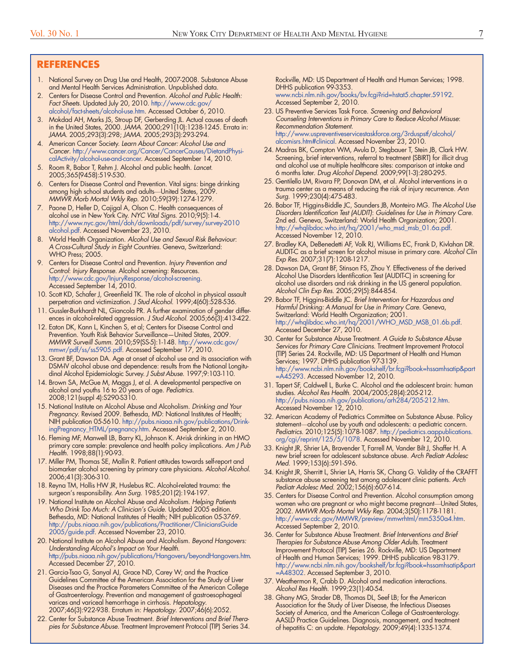#### **REFERENCES**

- 1. National Survey on Drug Use and Health, 2007-2008. Substance Abuse and Mental Health Services Administration. Unpublished data.
- 2. Centers for Disease Control and Prevention. *Alcohol and Public Health: Fact Sheets*. Updated July 20, 2010. [http://www.cdc.gov/](http://www.cdc.gov/alcohol/fact-sheets/alcohol-use.htm) [alcohol/fact-sheets/alcohol-use.htm](http://www.cdc.gov/alcohol/fact-sheets/alcohol-use.htm). Accessed October 6, 2010.
- 3. Mokdad AH, Marks JS, Stroup DF, Gerberding JL. Actual causes of death in the United States, 2000. *JAMA*. 2000;291(10):1238-1245. Errata in: *JAMA*. 2005;293(3):298; *JAMA*. 2005;293(3):293-294.
- 4. American Cancer Society. *Learn About Cancer: Alcohol Use and Cancer*. [http://www.cancer.org/Cancer/CancerCauses/DietandPhysi](http://www.cancer.org/Cancer/CancerCauses/DietandPhysicalActivity/alcohol-use-and-cancer)[calActivity/alcohol-use-and-cancer.](http://www.cancer.org/Cancer/CancerCauses/DietandPhysicalActivity/alcohol-use-and-cancer) Accessed September 14, 2010.
- 5. Room R, Babor T, Rehm J. Alcohol and public health. *Lancet*. 2005;365(9458):519-530.
- 6. Centers for Disease Control and Prevention. Vital signs: binge drinking among high school students and adults—United States, 2009. *MMWR Morb Mortal Wkly Rep*. 2010;59(39):1274-1279.
- 7. Paone D, Heller D, Cajigal A, Olson C. Health consequences of alcohol use in New York City. *NYC Vital Signs*. 2010;9(5):1-4. [http://www.nyc.gov/html/doh/downloads/pdf/survey/survey-2010](http://www.nyc.gov/html/doh/downloads/pdf/survey/survey-2010alcohol.pdf) [alcohol.pdf.](http://www.nyc.gov/html/doh/downloads/pdf/survey/survey-2010alcohol.pdf) Accessed November 23, 2010.
- 8. World Health Organization. *Alcohol Use and Sexual Risk Behaviour*: *A Cross-Cultural Study in Eight Countries*. Geneva, Switzerland: WHO Press; 2005.
- 9. Centers for Disease Control and Prevention. *Injury Prevention and Control*: *Injury Response*. Alcohol screening: Resources. [http://www.cdc.gov/InjuryResponse/alcohol-screening.](http://www.cdc.gov/InjuryResponse/alcohol%2Dscreening/) Accessed September 14, 2010.
- 10. Scott KD, Schafer J, Greenfield TK. The role of alcohol in physical assault perpetration and victimization. *J Stud Alcohol*. 1999;4(60):528-536.
- 11. Gussler-Burkhardt NL, Giancola PR. A further examination of gender differences in alcohol-related aggression. *J Stud Alcohol*. 2005;66(3):413-422.
- 12. Eaton DK, Kann L, Kinchen S, et al; Centers for Disease Control and Prevention. Youth Risk Behavior Surveillance—United States, 2009. *MMWR Surveill Summ*. 2010;59(SS-5):1-148. [http://www.cdc.gov/](http://www.cdc.gov/mmwr/pdf/ss/ss5905.pdf) [mmwr/pdf/ss/ss5905.pdf.](http://www.cdc.gov/mmwr/pdf/ss/ss5905.pdf) Accessed September 17, 2010.
- 13. Grant BF, Dawson DA. Age at onset of alcohol use and its association with DSM-IV alcohol abuse and dependence: results from the National Longitudinal Alcohol Epidemiologic Survey. *J Subst Abuse*. 1997;9:103-110.
- 14. Brown SA, McGue M, Maggs J, et al. A developmental perspective on alcohol and youths 16 to 20 years of age. *Pediatrics*. 2008;121(suppl 4):S290-S310.
- 15. National Institute on Alcohol Abuse and Alcoholism. *Drinking and Your Pregnancy*. Revised 2009. Bethesda, MD: National Institutes of Health; NIH publication 05-5610. [http://pubs.niaaa.nih.gov/publications/Drink](http://pubs.niaaa.nih.gov/publications/DrinkingPregnancy_HTML/pregnancy.htm)[ingPregnancy\\_HTML/pregnancy.htm.](http://pubs.niaaa.nih.gov/publications/DrinkingPregnancy_HTML/pregnancy.htm) Accessed September 2, 2010.
- 16. Fleming MF, Manwell LB, Barry KL, Johnson K. At-risk drinking in an HMO primary care sample: prevalence and health policy implications. *Am J Pub Health*. 1998;88(1):90-93.
- 17. Miller PM, Thomas SE, Mallin R. Patient attitudes towards self-report and biomarker alcohol screening by primary care physicians. *Alcohol Alcohol*. 2006;41(3):306-310.
- 18. Reyna TM, Hollis HW JR, Huslebus RC. Alcohol-related trauma: the surgeon's responsibility. *Ann Surg*. 1985;201(2):194-197.
- 19. National Institute on Alcohol Abuse and Alcoholism. *Helping Patients Who Drink Too Much: A Clinician's Guide*. Updated 2005 edition. Bethesda, MD: National Institutes of Health; NIH publication 05-3769. [http://pubs.niaaa.nih.gov/publications/Practitioner/CliniciansGuide](http://pubs.niaaa.nih.gov/publications/Practitioner/CliniciansGuide2005/guide.pdf) [2005/guide.pdf.](http://pubs.niaaa.nih.gov/publications/Practitioner/CliniciansGuide2005/guide.pdf) Accessed November 23, 2010.
- 20. National Institute on Alcohol Abuse and Alcoholism. *Beyond Hangovers: Understanding Alcohol's Impact on Your Health*. [http://pubs.niaaa.nih.gov/publications/Hangovers/beyondHangovers.htm.](http://pubs.niaaa.nih.gov/publications/Hangovers/beyondHangovers.htm) Accessed December 27, 2010.
- 21. Garcia-Tsao G, Sanyal AJ, Grace ND, Carey W; and the Practice Guidelines Committee of the American Association for the Study of Liver Diseases and the Practice Parameters Committee of the American College of Gastroenterology. Prevention and management of gastroesophageal varices and variceal hemorrhage in cirrhosis. *Hepatology*. 2007;46(3):922-938. Erratum in: *Hepatology*. 2007;46(6):2052.
- 22. Center for Substance Abuse Treatment. *Brief Interventions and Brief Therapies for Substance Abuse*. Treatment Improvement Protocol (TIP) Series 34.

Rockville, MD: US Department of Health and Human Services; 1998. DHHS publication 99-3353.

[www.ncbi.nlm.nih.gov/books/bv.fcgi?rid=hstat5.chapter.59192.](http://www.ncbi.nlm.nih.gov/books/NBK14512/) Accessed September 2, 2010.

- 23. US Preventive Services Task Force. *Screening and Behavioral Counseling Interventions in Primary Care to Reduce Alcohol Misuse*: *Recommendation Statement*. [http://www.uspreventiveservicestaskforce.org/3rduspstf/alcohol/](http://www.uspreventiveservicestaskforce.org/3rduspstf/alcohol/alcomisrs.htm#clinical) [alcomisrs.htm#clinical.](http://www.uspreventiveservicestaskforce.org/3rduspstf/alcohol/alcomisrs.htm#clinical) Accessed November 23, 2010.
- 24. Madras BK, Compton WM, Avula D, Stegbauer T, Stein JB, Clark HW. Screening, brief interventions, referral to treatment (SBIRT) for illicit drug and alcohol use at multiple healthcare sites: comparison at intake and 6 months later. *Drug Alcohol Depend*. 2009;99(1-3):280-295.
- 25. Gentilello LM, Rivara FP, Donovan DM, et al. Alcohol interventions in a trauma center as a means of reducing the risk of injury recurrence. *Ann Surg*. 1999;230(4):475-483.
- 26. Babor TF, Higgins-Biddle JC, Saunders JB, Monteiro MG. *The Alcohol Use Disorders Identification Test (AUDIT)*: *Guidelines for Use in Primary Care*. 2nd ed. Geneva, Switzerland: World Health Organization; 2001. [http://whqlibdoc.who.int/hq/2001/who\\_msd\\_msb\\_01.6a.pdf.](http://whqlibdoc.who.int/hq/2001/who_msd_msb_01.6a.pdf) Accessed November 12, 2010.
- 27. Bradley KA, DeBenedetti AF, Volk RJ, Williams EC, Frank D, Kivlahan DR. AUDIT-C as a brief screen for alcohol misuse in primary care. *Alcohol Clin Exp Res*. 2007;31(7):1208-1217.
- 28. Dawson DA, Grant BF, Stinson FS, Zhou Y. Effectiveness of the derived Alcohol Use Disorders Identification Test (AUDIT-C) in screening for alcohol use disorders and risk drinking in the US general population. *Alcohol Clin Exp Res*. 2005;29(5):844-854.
- 29. Babor TF, Higgins-Biddle JC. *Brief Intervention for Hazardous and Harmful Drinking: A Manual for Use in Primary Care*. Geneva, Switzerland: World Health Organization; 2001. [http://whqlibdoc.who.int/hq/2001/WHO\\_MSD\\_MSB\\_01.6b.pdf.](http://whqlibdoc.who.int/hq/2001/WHO_MSD_MSB_01.6b.pdf) Accessed December 27, 2010.
- 30. Center for Substance Abuse Treatment. *A Guide to Substance Abuse Services for Primary Care Clinicians*. Treatment Improvement Protocol (TIP) Series 24. Rockville, MD: US Department of Health and Human Services; 1997. DHHS publication 97-3139. [http://www.ncbi.nlm.nih.gov/bookshelf/br.fcgi?book=hssamhsatip&part](http://www.ncbi.nlm.nih.gov/books/NBK14386/) [=A45293.](http://www.ncbi.nlm.nih.gov/books/NBK14386/) Accessed November 12, 2010.
- 31. Tapert SF, Caldwell L, Burke C. Alcohol and the adolescent brain: human studies. *Alcohol Res Health*. 2004/2005;28(4):205-212. [http://pubs.niaaa.nih.gov/publications/arh284/205-212.htm.](http://pubs.niaaa.nih.gov/publications/arh284/205-212.htm) Accessed November 12, 2010.
- 32. American Academy of Pediatrics Committee on Substance Abuse. Policy statement—alcohol use by youth and adolescents: a pediatric concern. *Pediatrics*. 2010;125(5):1078-1087. [http://pediatrics.aappublications.](http://pediatrics.aappublications.org/cgi/reprint/125/5/1078) [org/cgi/reprint/125/5/1078](http://pediatrics.aappublications.org/cgi/reprint/125/5/1078). Accessed November 12, 2010.
- 33. Knight JR, Shrier LA, Bravender T, Farrell M, Vander Bilt J, Shaffer H. A new brief screen for adolescent substance abuse. *Arch Pediatr Adolesc Med*. 1999;153(6):591-596.
- 34. Knight JR, Sherritt L, Shrier LA, Harris SK, Chang G. Validity of the CRAFFT substance abuse screening test among adolescent clinic patients. *Arch Pediatr Adolesc Med*. 2002;156(6):607-614.
- 35. Centers for Disease Control and Prevention. Alcohol consumption among women who are pregnant or who might become pregnant—United States, 2002. *MMWR Morb Mortal Wkly Rep*. 2004;3(50):1178-1181. [http://www.cdc.gov/MMWR/preview/mmwrhtml/mm5350a4.htm.](http://www.cdc.gov/MMWR/preview/mmwrhtml/mm5350a4.htm) Accessed September 2, 2010.
- 36. Center for Substance Abuse Treatment. *Brief Interventions and Brief Therapies for Substance Abuse Among Older Adults*. Treatment Improvement Protocol (TIP) Series 26. Rockville, MD: US Department of Health and Human Services; 1999. DHHS publication 98-3179. [http://www.ncbi.nlm.nih.gov/bookshelf/br.fcgi?book=hssamhsatip&part](http://www.ncbi.nlm.nih.gov/books/NBK14467) [=A48302.](http://www.ncbi.nlm.nih.gov/books/NBK14467) Accessed September 3, 2010.
- 37. Weathermon R, Crabb D. Alcohol and medication interactions. *Alcohol Res Health*. 1999;23(1):40-54.
- 38. Ghany MG, Strader DB, Thomas DL, Seef LB; for the American Association for the Study of Liver Disease, the Infectious Diseases Society of America, and the American College of Gastroenterology. AASLD Practice Guidelines. Diagnosis, management, and treatment of hepatitis C: an update. *Hepatology*. 2009;49(4):1335-1374.